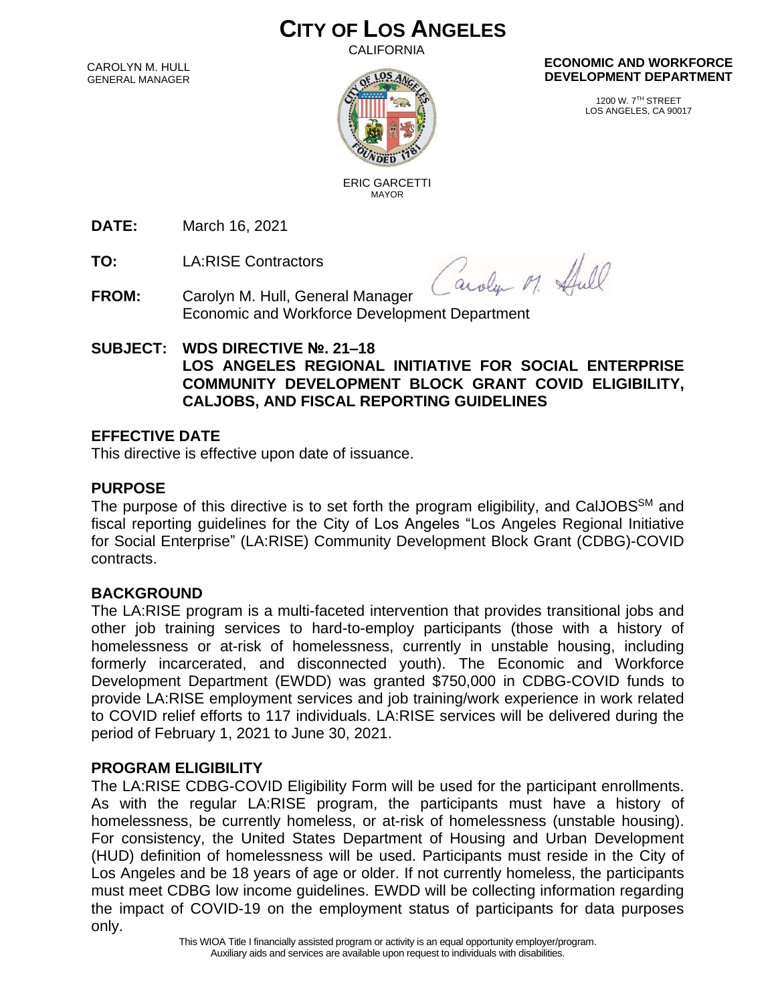# **CITY OF LOS ANGELES**

**CALIFORNIA** 

CAROLYN M. HULL GENERAL MANAGER



#### **ECONOMIC AND WORKFORCE DEVELOPMENT DEPARTMENT**

1200 W. 7TH STREET LOS ANGELES, CA 90017

 ERIC GARCETTI MAYOR

**DATE:** March 16, 2021

**TO:** LA:RISE Contractors

Caroly M. Hull

- **FROM:** Carolyn M. Hull, General Manager Economic and Workforce Development Department
- **SUBJECT: WDS DIRECTIVE №. 21–18 LOS ANGELES REGIONAL INITIATIVE FOR SOCIAL ENTERPRISE COMMUNITY DEVELOPMENT BLOCK GRANT COVID ELIGIBILITY, CALJOBS, AND FISCAL REPORTING GUIDELINES**

## **EFFECTIVE DATE**

This directive is effective upon date of issuance.

## **PURPOSE**

The purpose of this directive is to set forth the program eligibility, and CalJOBS<sup>SM</sup> and fiscal reporting guidelines for the City of Los Angeles "Los Angeles Regional Initiative for Social Enterprise" (LA:RISE) Community Development Block Grant (CDBG)-COVID contracts.

## **BACKGROUND**

The LA:RISE program is a multi-faceted intervention that provides transitional jobs and other job training services to hard-to-employ participants (those with a history of homelessness or at-risk of homelessness, currently in unstable housing, including formerly incarcerated, and disconnected youth). The Economic and Workforce Development Department (EWDD) was granted \$750,000 in CDBG-COVID funds to provide LA:RISE employment services and job training/work experience in work related to COVID relief efforts to 117 individuals. LA:RISE services will be delivered during the period of February 1, 2021 to June 30, 2021.

## **PROGRAM ELIGIBILITY**

The LA:RISE CDBG-COVID Eligibility Form will be used for the participant enrollments. As with the regular LA:RISE program, the participants must have a history of homelessness, be currently homeless, or at-risk of homelessness (unstable housing). For consistency, the United States Department of Housing and Urban Development (HUD) definition of homelessness will be used. Participants must reside in the City of Los Angeles and be 18 years of age or older. If not currently homeless, the participants must meet CDBG low income guidelines. EWDD will be collecting information regarding the impact of COVID-19 on the employment status of participants for data purposes only.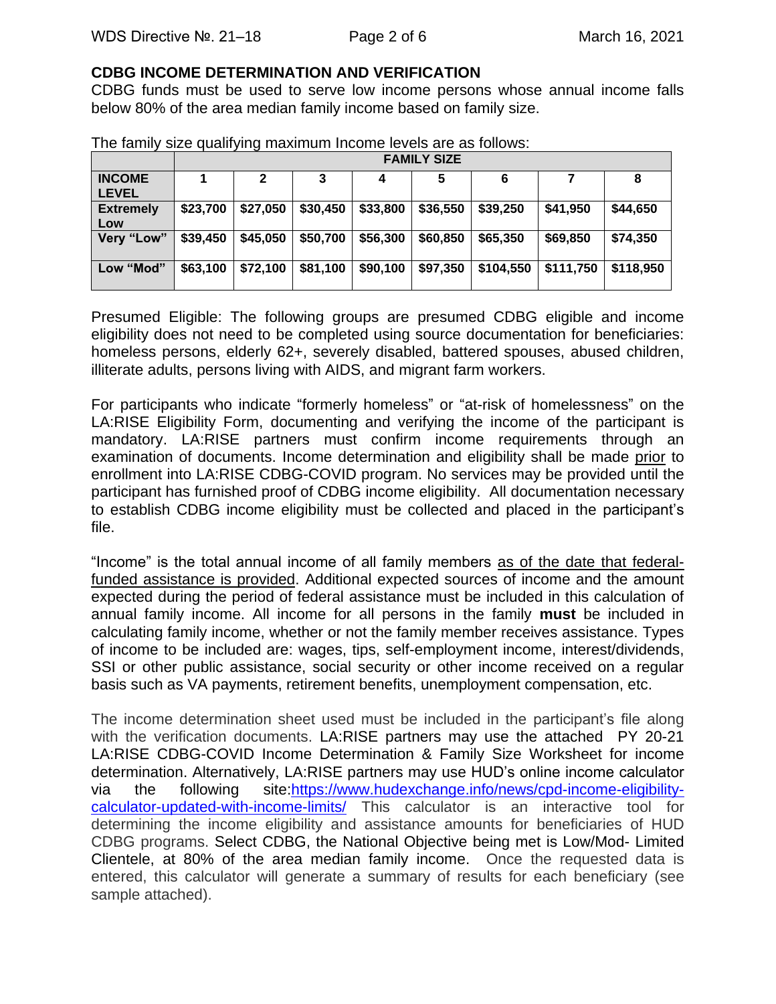#### **CDBG INCOME DETERMINATION AND VERIFICATION**

CDBG funds must be used to serve low income persons whose annual income falls below 80% of the area median family income based on family size.

|                               | <b>FAMILY SIZE</b> |          |          |          |          |           |           |           |
|-------------------------------|--------------------|----------|----------|----------|----------|-----------|-----------|-----------|
| <b>INCOME</b><br><b>LEVEL</b> |                    |          |          | 4        |          |           |           | 8         |
| <b>Extremely</b><br>Low       | \$23,700           | \$27,050 | \$30,450 | \$33,800 | \$36,550 | \$39,250  | \$41,950  | \$44,650  |
| Very "Low"                    | \$39,450           | \$45,050 | \$50,700 | \$56,300 | \$60,850 | \$65,350  | \$69,850  | \$74,350  |
| Low "Mod"                     | \$63,100           | \$72,100 | \$81,100 | \$90,100 | \$97,350 | \$104,550 | \$111,750 | \$118,950 |

The family size qualifying maximum Income levels are as follows:

Presumed Eligible: The following groups are presumed CDBG eligible and income eligibility does not need to be completed using source documentation for beneficiaries: homeless persons, elderly 62+, severely disabled, battered spouses, abused children, illiterate adults, persons living with AIDS, and migrant farm workers.

For participants who indicate "formerly homeless" or "at-risk of homelessness" on the LA:RISE Eligibility Form, documenting and verifying the income of the participant is mandatory. LA:RISE partners must confirm income requirements through an examination of documents. Income determination and eligibility shall be made prior to enrollment into LA:RISE CDBG-COVID program. No services may be provided until the participant has furnished proof of CDBG income eligibility. All documentation necessary to establish CDBG income eligibility must be collected and placed in the participant's file.

"Income" is the total annual income of all family members as of the date that federalfunded assistance is provided. Additional expected sources of income and the amount expected during the period of federal assistance must be included in this calculation of annual family income. All income for all persons in the family **must** be included in calculating family income, whether or not the family member receives assistance. Types of income to be included are: wages, tips, self-employment income, interest/dividends, SSI or other public assistance, social security or other income received on a regular basis such as VA payments, retirement benefits, unemployment compensation, etc.

The income determination sheet used must be included in the participant's file along with the verification documents. LA:RISE partners may use the attached PY 20-21 LA:RISE CDBG-COVID Income Determination & Family Size Worksheet for income determination. Alternatively, LA:RISE partners may use HUD's online income calculator via the following site[:https://www.hudexchange.info/news/cpd-income-eligibility](https://www.hudexchange.info/news/cpd-income-eligibility-calculator-updated-with-income-limits/)[calculator-updated-with-income-limits/](https://www.hudexchange.info/news/cpd-income-eligibility-calculator-updated-with-income-limits/) This calculator is an interactive tool for determining the income eligibility and assistance amounts for beneficiaries of HUD CDBG programs. Select CDBG, the National Objective being met is Low/Mod- Limited Clientele, at 80% of the area median family income. Once the requested data is entered, this calculator will generate a summary of results for each beneficiary (see sample attached).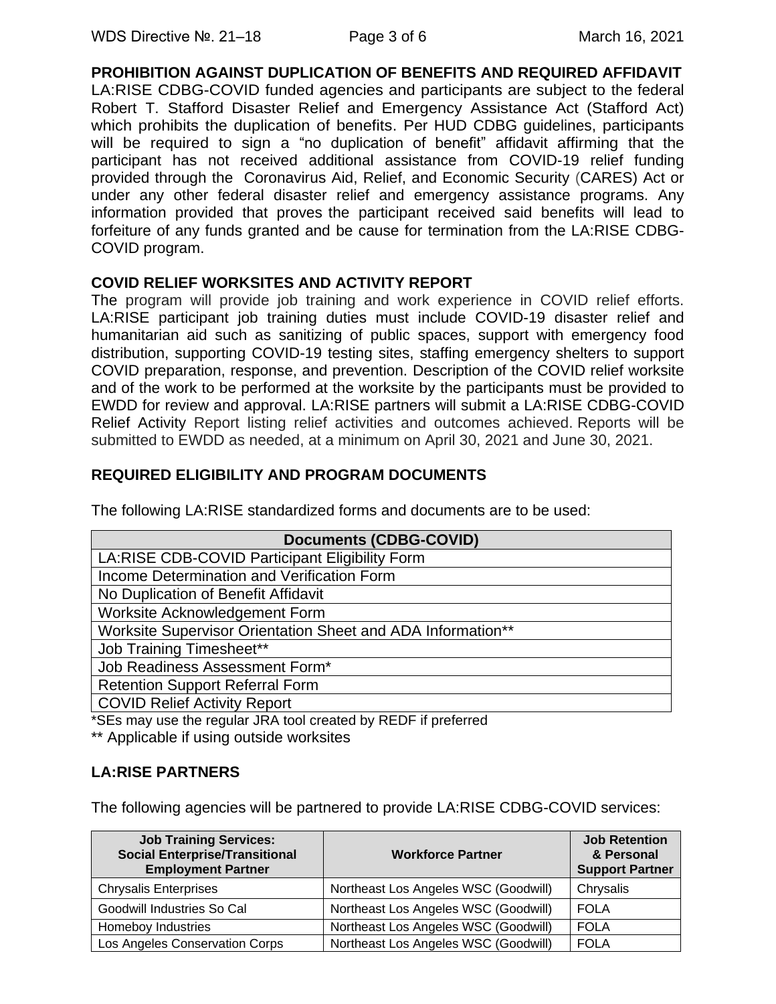**PROHIBITION AGAINST DUPLICATION OF BENEFITS AND REQUIRED AFFIDAVIT** LA:RISE CDBG-COVID funded agencies and participants are subject to the federal Robert T. Stafford Disaster Relief and Emergency Assistance Act (Stafford Act) which prohibits the duplication of benefits. Per HUD CDBG guidelines, participants will be required to sign a "no duplication of benefit" affidavit affirming that the participant has not received additional assistance from COVID-19 relief funding provided through the Coronavirus Aid, Relief, and Economic Security (CARES) Act or under any other federal disaster relief and emergency assistance programs. Any information provided that proves the participant received said benefits will lead to forfeiture of any funds granted and be cause for termination from the LA:RISE CDBG-COVID program.

### **COVID RELIEF WORKSITES AND ACTIVITY REPORT**

The program will provide job training and work experience in COVID relief efforts. LA:RISE participant job training duties must include COVID-19 disaster relief and humanitarian aid such as sanitizing of public spaces, support with emergency food distribution, supporting COVID-19 testing sites, staffing emergency shelters to support COVID preparation, response, and prevention. Description of the COVID relief worksite and of the work to be performed at the worksite by the participants must be provided to EWDD for review and approval. LA:RISE partners will submit a LA:RISE CDBG-COVID Relief Activity Report listing relief activities and outcomes achieved. Reports will be submitted to EWDD as needed, at a minimum on April 30, 2021 and June 30, 2021.

## **REQUIRED ELIGIBILITY AND PROGRAM DOCUMENTS**

The following LA:RISE standardized forms and documents are to be used:

| <b>Documents (CDBG-COVID)</b>                               |  |  |  |
|-------------------------------------------------------------|--|--|--|
| LA:RISE CDB-COVID Participant Eligibility Form              |  |  |  |
| Income Determination and Verification Form                  |  |  |  |
| No Duplication of Benefit Affidavit                         |  |  |  |
| Worksite Acknowledgement Form                               |  |  |  |
| Worksite Supervisor Orientation Sheet and ADA Information** |  |  |  |
| <b>Job Training Timesheet**</b>                             |  |  |  |
| Job Readiness Assessment Form*                              |  |  |  |
| <b>Retention Support Referral Form</b>                      |  |  |  |
| <b>COVID Relief Activity Report</b>                         |  |  |  |

\*SEs may use the regular JRA tool created by REDF if preferred

\*\* Applicable if using outside worksites

## **LA:RISE PARTNERS**

The following agencies will be partnered to provide LA:RISE CDBG-COVID services:

| <b>Job Training Services:</b><br><b>Social Enterprise/Transitional</b><br><b>Employment Partner</b> | <b>Workforce Partner</b>             | <b>Job Retention</b><br>& Personal<br><b>Support Partner</b> |
|-----------------------------------------------------------------------------------------------------|--------------------------------------|--------------------------------------------------------------|
| <b>Chrysalis Enterprises</b>                                                                        | Northeast Los Angeles WSC (Goodwill) | Chrysalis                                                    |
| Goodwill Industries So Cal                                                                          | Northeast Los Angeles WSC (Goodwill) | <b>FOLA</b>                                                  |
| Homeboy Industries                                                                                  | Northeast Los Angeles WSC (Goodwill) | <b>FOLA</b>                                                  |
| Los Angeles Conservation Corps                                                                      | Northeast Los Angeles WSC (Goodwill) | <b>FOLA</b>                                                  |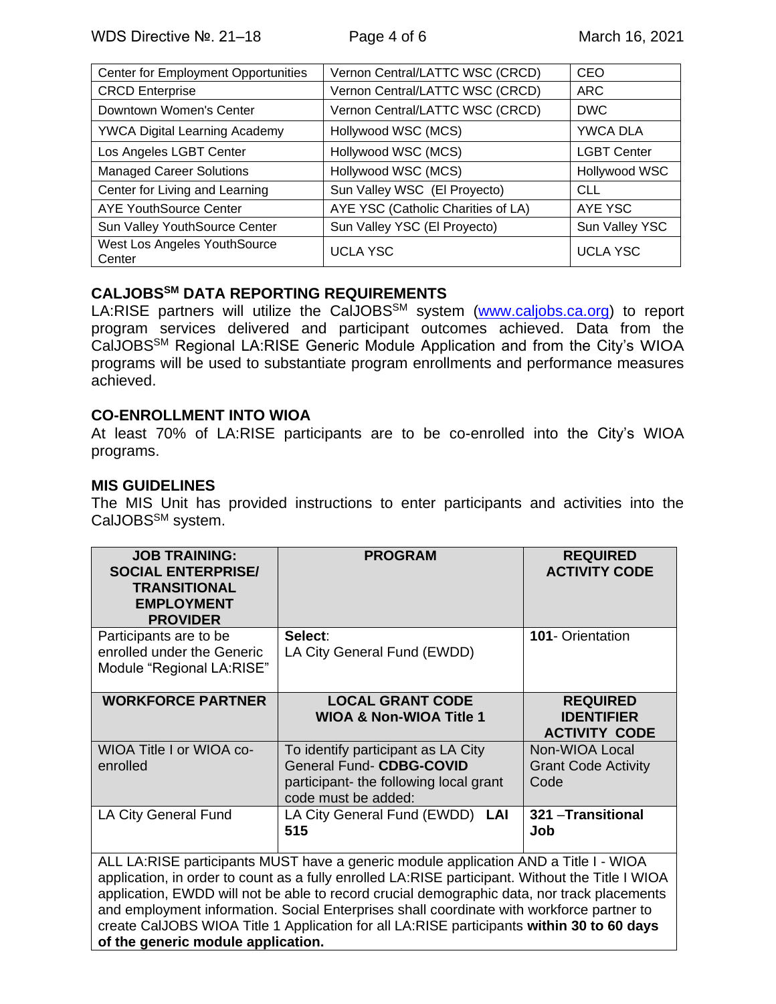| Center for Employment Opportunities    | Vernon Central/LATTC WSC (CRCD)    | <b>CEO</b>         |
|----------------------------------------|------------------------------------|--------------------|
| <b>CRCD</b> Enterprise                 | Vernon Central/LATTC WSC (CRCD)    | <b>ARC</b>         |
| Downtown Women's Center                | Vernon Central/LATTC WSC (CRCD)    | <b>DWC</b>         |
| <b>YWCA Digital Learning Academy</b>   | Hollywood WSC (MCS)                | YWCA DLA           |
| Los Angeles LGBT Center                | Hollywood WSC (MCS)                | <b>LGBT Center</b> |
| <b>Managed Career Solutions</b>        | Hollywood WSC (MCS)                | Hollywood WSC      |
| Center for Living and Learning         | Sun Valley WSC (El Proyecto)       | <b>CLL</b>         |
| <b>AYE YouthSource Center</b>          | AYE YSC (Catholic Charities of LA) | AYE YSC            |
| Sun Valley YouthSource Center          | Sun Valley YSC (El Proyecto)       | Sun Valley YSC     |
| West Los Angeles YouthSource<br>Center | <b>UCLA YSC</b>                    | <b>UCLA YSC</b>    |

## **CALJOBSSM DATA REPORTING REQUIREMENTS**

LA:RISE partners will utilize the CalJOBS<sup>SM</sup> system [\(www.caljobs.ca.org\)](http://www.caljobs.ca.org/) to report program services delivered and participant outcomes achieved. Data from the CalJOBSSM Regional LA:RISE Generic Module Application and from the City's WIOA programs will be used to substantiate program enrollments and performance measures achieved.

#### **CO-ENROLLMENT INTO WIOA**

At least 70% of LA:RISE participants are to be co-enrolled into the City's WIOA programs.

#### **MIS GUIDELINES**

The MIS Unit has provided instructions to enter participants and activities into the CalJOBS<sup>SM</sup> system.

| <b>JOB TRAINING:</b><br><b>SOCIAL ENTERPRISE/</b><br><b>TRANSITIONAL</b><br><b>EMPLOYMENT</b><br><b>PROVIDER</b>                                                                                                                                                                                                                                                                                                                                                                                                        | <b>PROGRAM</b>                                                                                                                        | <b>REQUIRED</b><br><b>ACTIVITY CODE</b>                      |  |  |
|-------------------------------------------------------------------------------------------------------------------------------------------------------------------------------------------------------------------------------------------------------------------------------------------------------------------------------------------------------------------------------------------------------------------------------------------------------------------------------------------------------------------------|---------------------------------------------------------------------------------------------------------------------------------------|--------------------------------------------------------------|--|--|
| Participants are to be<br>enrolled under the Generic<br>Module "Regional LA:RISE"                                                                                                                                                                                                                                                                                                                                                                                                                                       | Select:<br>LA City General Fund (EWDD)                                                                                                | 101- Orientation                                             |  |  |
| <b>WORKFORCE PARTNER</b>                                                                                                                                                                                                                                                                                                                                                                                                                                                                                                | <b>LOCAL GRANT CODE</b><br><b>WIOA &amp; Non-WIOA Title 1</b>                                                                         | <b>REQUIRED</b><br><b>IDENTIFIER</b><br><b>ACTIVITY CODE</b> |  |  |
| WIOA Title I or WIOA co-<br>enrolled                                                                                                                                                                                                                                                                                                                                                                                                                                                                                    | To identify participant as LA City<br><b>General Fund- CDBG-COVID</b><br>participant-the following local grant<br>code must be added: | Non-WIOA Local<br><b>Grant Code Activity</b><br>Code         |  |  |
| <b>LA City General Fund</b>                                                                                                                                                                                                                                                                                                                                                                                                                                                                                             | LA City General Fund (EWDD) LAI<br>515                                                                                                | 321 - Transitional<br>Job                                    |  |  |
| ALL LA:RISE participants MUST have a generic module application AND a Title I - WIOA<br>application, in order to count as a fully enrolled LA:RISE participant. Without the Title I WIOA<br>application, EWDD will not be able to record crucial demographic data, nor track placements<br>and employment information. Social Enterprises shall coordinate with workforce partner to<br>create CalJOBS WIOA Title 1 Application for all LA:RISE participants within 30 to 60 days<br>of the generic module application. |                                                                                                                                       |                                                              |  |  |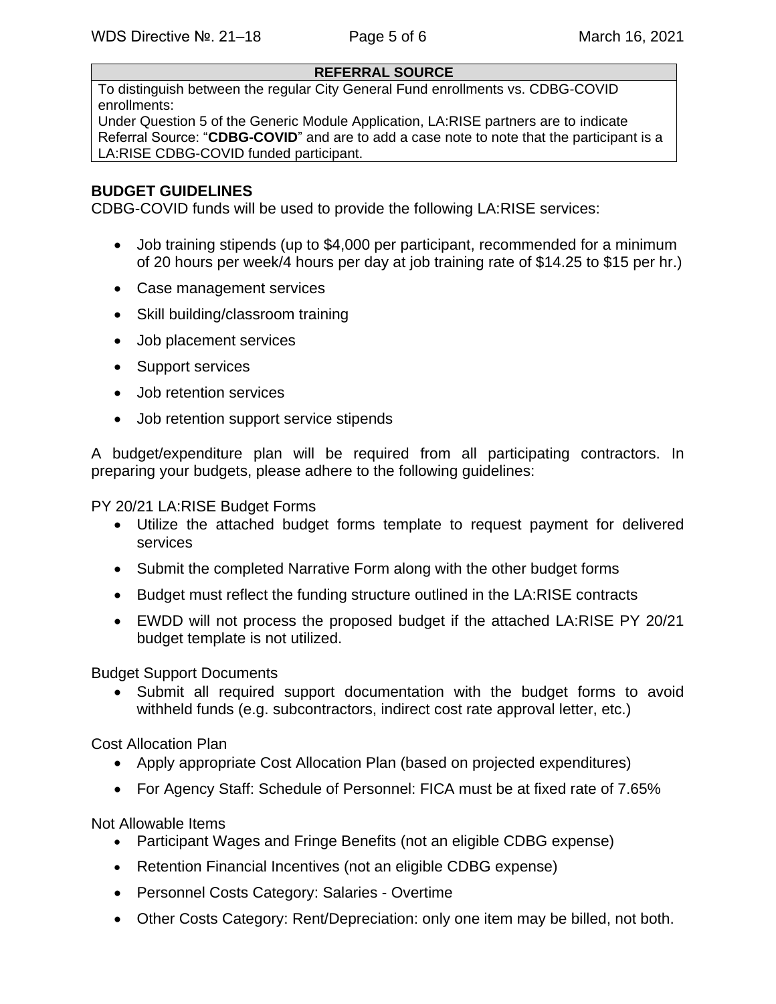#### **REFERRAL SOURCE**

To distinguish between the regular City General Fund enrollments vs. CDBG-COVID enrollments:

Under Question 5 of the Generic Module Application, LA:RISE partners are to indicate Referral Source: "**CDBG-COVID**" and are to add a case note to note that the participant is a LA:RISE CDBG-COVID funded participant.

#### **BUDGET GUIDELINES**

CDBG-COVID funds will be used to provide the following LA:RISE services:

- Job training stipends (up to \$4,000 per participant, recommended for a minimum of 20 hours per week/4 hours per day at job training rate of \$14.25 to \$15 per hr.)
- Case management services
- Skill building/classroom training
- Job placement services
- Support services
- Job retention services
- Job retention support service stipends

A budget/expenditure plan will be required from all participating contractors. In preparing your budgets, please adhere to the following guidelines:

PY 20/21 LA:RISE Budget Forms

- Utilize the attached budget forms template to request payment for delivered services
- Submit the completed Narrative Form along with the other budget forms
- Budget must reflect the funding structure outlined in the LA:RISE contracts
- EWDD will not process the proposed budget if the attached LA:RISE PY 20/21 budget template is not utilized.

Budget Support Documents

Submit all required support documentation with the budget forms to avoid withheld funds (e.g. subcontractors, indirect cost rate approval letter, etc.)

Cost Allocation Plan

- Apply appropriate Cost Allocation Plan (based on projected expenditures)
- For Agency Staff: Schedule of Personnel: FICA must be at fixed rate of 7.65%

Not Allowable Items

- Participant Wages and Fringe Benefits (not an eligible CDBG expense)
- Retention Financial Incentives (not an eligible CDBG expense)
- Personnel Costs Category: Salaries Overtime
- Other Costs Category: Rent/Depreciation: only one item may be billed, not both.